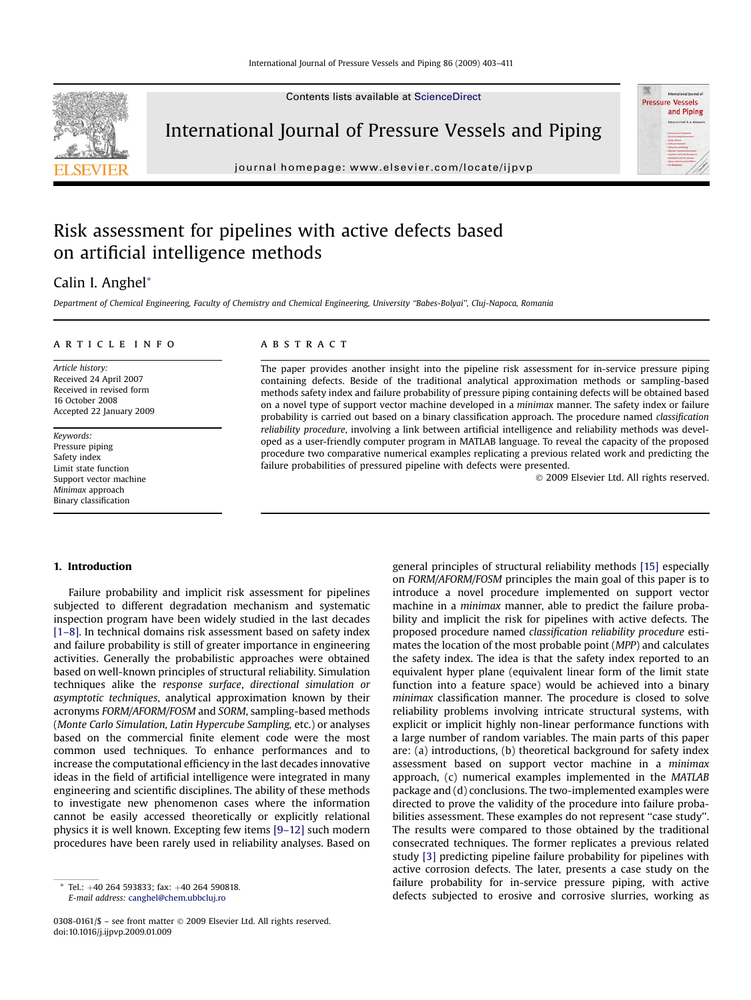Contents lists available at [ScienceDirect](www.sciencedirect.com/science/journal/03080161)



International Journal of Pressure Vessels and Piping

journal homepage: [www.elsevier.com/locate/ijpvp](http://www.elsevier.com/locate/ijpvp)

## Risk assessment for pipelines with active defects based on artificial intelligence methods

### Calin I. Anghel\*

Department of Chemical Engineering, Faculty of Chemistry and Chemical Engineering, University ''Babes-Bolyai'', Cluj-Napoca, Romania

#### article info

Article history: Received 24 April 2007 Received in revised form 16 October 2008 Accepted 22 January 2009

Keywords: Pressure piping Safety index Limit state function Support vector machine Minimax approach Binary classification

#### **ABSTRACT**

The paper provides another insight into the pipeline risk assessment for in-service pressure piping containing defects. Beside of the traditional analytical approximation methods or sampling-based methods safety index and failure probability of pressure piping containing defects will be obtained based on a novel type of support vector machine developed in a minimax manner. The safety index or failure probability is carried out based on a binary classification approach. The procedure named classification reliability procedure, involving a link between artificial intelligence and reliability methods was developed as a user-friendly computer program in MATLAB language. To reveal the capacity of the proposed procedure two comparative numerical examples replicating a previous related work and predicting the failure probabilities of pressured pipeline with defects were presented.

- 2009 Elsevier Ltd. All rights reserved.

**Pressure Vessels** and Piping

#### 1. Introduction

Failure probability and implicit risk assessment for pipelines subjected to different degradation mechanism and systematic inspection program have been widely studied in the last decades [\[1–8\].](#page--1-0) In technical domains risk assessment based on safety index and failure probability is still of greater importance in engineering activities. Generally the probabilistic approaches were obtained based on well-known principles of structural reliability. Simulation techniques alike the response surface, directional simulation or asymptotic techniques, analytical approximation known by their acronyms FORM/AFORM/FOSM and SORM, sampling-based methods (Monte Carlo Simulation, Latin Hypercube Sampling, etc.) or analyses based on the commercial finite element code were the most common used techniques. To enhance performances and to increase the computational efficiency in the last decades innovative ideas in the field of artificial intelligence were integrated in many engineering and scientific disciplines. The ability of these methods to investigate new phenomenon cases where the information cannot be easily accessed theoretically or explicitly relational physics it is well known. Excepting few items [\[9–12\]](#page--1-0) such modern procedures have been rarely used in reliability analyses. Based on

general principles of structural reliability methods [\[15\]](#page--1-0) especially on FORM/AFORM/FOSM principles the main goal of this paper is to introduce a novel procedure implemented on support vector machine in a minimax manner, able to predict the failure probability and implicit the risk for pipelines with active defects. The proposed procedure named classification reliability procedure estimates the location of the most probable point (MPP) and calculates the safety index. The idea is that the safety index reported to an equivalent hyper plane (equivalent linear form of the limit state function into a feature space) would be achieved into a binary minimax classification manner. The procedure is closed to solve reliability problems involving intricate structural systems, with explicit or implicit highly non-linear performance functions with a large number of random variables. The main parts of this paper are: (a) introductions, (b) theoretical background for safety index assessment based on support vector machine in a minimax approach, (c) numerical examples implemented in the MATLAB package and (d) conclusions. The two-implemented examples were directed to prove the validity of the procedure into failure probabilities assessment. These examples do not represent ''case study''. The results were compared to those obtained by the traditional consecrated techniques. The former replicates a previous related study [\[3\]](#page--1-0) predicting pipeline failure probability for pipelines with active corrosion defects. The later, presents a case study on the failure probability for in-service pressure piping, with active Tel.: +40 264 593833; fax: +40 264 590818.<br>E-mail address: canghel@chem.ubbclui.ro<br>E-mail address: canghel@chem.ubbclui.ro

E-mail address: [canghel@chem.ubbcluj.ro](mailto:canghel@chem.ubbcluj.ro)

<sup>0308-0161/\$ –</sup> see front matter © 2009 Elsevier Ltd. All rights reserved. doi:10.1016/j.ijpvp.2009.01.009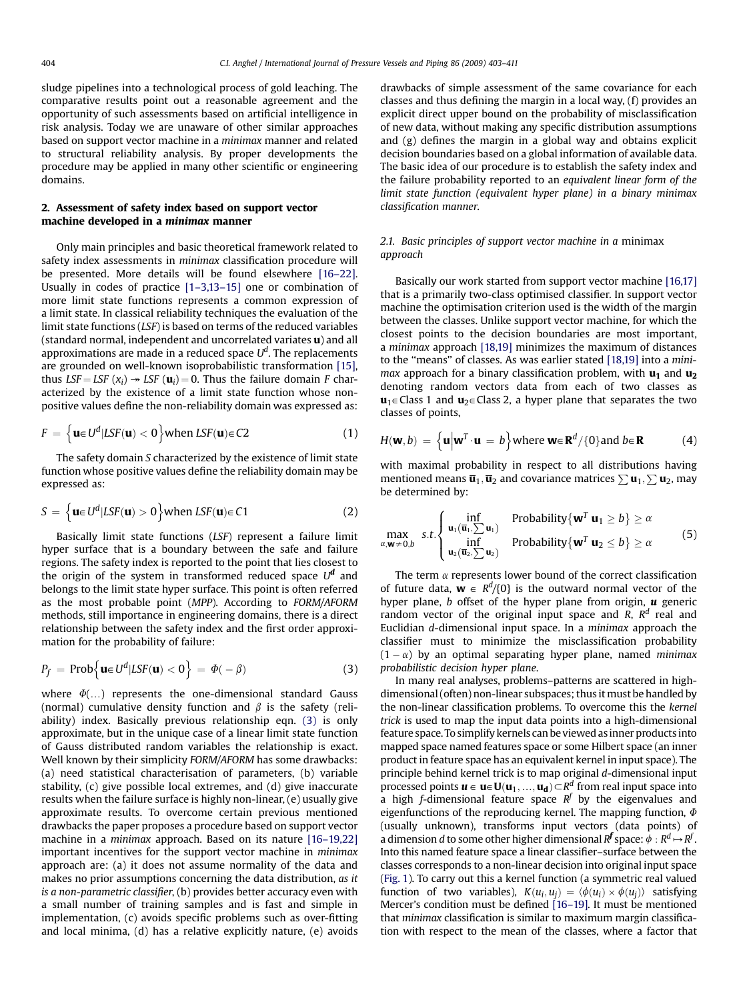sludge pipelines into a technological process of gold leaching. The comparative results point out a reasonable agreement and the opportunity of such assessments based on artificial intelligence in risk analysis. Today we are unaware of other similar approaches based on support vector machine in a minimax manner and related to structural reliability analysis. By proper developments the procedure may be applied in many other scientific or engineering domains.

#### 2. Assessment of safety index based on support vector machine developed in a minimax manner

Only main principles and basic theoretical framework related to safety index assessments in minimax classification procedure will be presented. More details will be found elsewhere [\[16–22\].](#page--1-0) Usually in codes of practice [\[1–3,13–15\]](#page--1-0) one or combination of more limit state functions represents a common expression of a limit state. In classical reliability techniques the evaluation of the limit state functions (LSF) is based on terms of the reduced variables (standard normal, independent and uncorrelated variates u) and all approximations are made in a reduced space  $U^d$ . The replacements are grounded on well-known isoprobabilistic transformation [\[15\],](#page--1-0) thus LSF = LSF  $(x_i) \rightarrow LSF$  ( $u_i$ ) = 0. Thus the failure domain F characterized by the existence of a limit state function whose nonpositive values define the non-reliability domain was expressed as:

$$
F = \left\{ \mathbf{u} \in U^d | LSF(\mathbf{u}) < 0 \right\} \text{ when } LSF(\mathbf{u}) \in C2
$$
 (1)

The safety domain S characterized by the existence of limit state function whose positive values define the reliability domain may be expressed as:

$$
S = \left\{ \mathbf{u} \in U^d | LSF(\mathbf{u}) > 0 \right\} \text{ when } LSF(\mathbf{u}) \in C1 \tag{2}
$$

Basically limit state functions (LSF) represent a failure limit hyper surface that is a boundary between the safe and failure regions. The safety index is reported to the point that lies closest to the origin of the system in transformed reduced space  $U^d$  and belongs to the limit state hyper surface. This point is often referred as the most probable point (MPP). According to FORM/AFORM methods, still importance in engineering domains, there is a direct relationship between the safety index and the first order approximation for the probability of failure:

$$
P_f = \text{Prob}\Big\{\mathbf{u} \in U^d | LSF(\mathbf{u}) < 0\Big\} = \Phi(-\beta) \tag{3}
$$

where  $\Phi$ (...) represents the one-dimensional standard Gauss (normal) cumulative density function and  $\beta$  is the safety (reliability) index. Basically previous relationship eqn. (3) is only approximate, but in the unique case of a linear limit state function of Gauss distributed random variables the relationship is exact. Well known by their simplicity FORM/AFORM has some drawbacks: (a) need statistical characterisation of parameters, (b) variable stability, (c) give possible local extremes, and (d) give inaccurate results when the failure surface is highly non-linear, (e) usually give approximate results. To overcome certain previous mentioned drawbacks the paper proposes a procedure based on support vector machine in a minimax approach. Based on its nature [\[16–19,22\]](#page--1-0) important incentives for the support vector machine in minimax approach are: (a) it does not assume normality of the data and makes no prior assumptions concerning the data distribution, as it is a non-parametric classifier, (b) provides better accuracy even with a small number of training samples and is fast and simple in implementation, (c) avoids specific problems such as over-fitting and local minima, (d) has a relative explicitly nature, (e) avoids drawbacks of simple assessment of the same covariance for each classes and thus defining the margin in a local way, (f) provides an explicit direct upper bound on the probability of misclassification of new data, without making any specific distribution assumptions and (g) defines the margin in a global way and obtains explicit decision boundaries based on a global information of available data. The basic idea of our procedure is to establish the safety index and the failure probability reported to an equivalent linear form of the limit state function (equivalent hyper plane) in a binary minimax classification manner.

#### 2.1. Basic principles of support vector machine in a minimax approach

Basically our work started from support vector machine [\[16,17\]](#page--1-0) that is a primarily two-class optimised classifier. In support vector machine the optimisation criterion used is the width of the margin between the classes. Unlike support vector machine, for which the closest points to the decision boundaries are most important, a minimax approach [\[18,19\]](#page--1-0) minimizes the maximum of distances to the ''means'' of classes. As was earlier stated [\[18,19\]](#page--1-0) into a minimax approach for a binary classification problem, with  $u_1$  and  $u_2$ denoting random vectors data from each of two classes as  $\mathbf{u}_1 \in \text{Class 1}$  and  $\mathbf{u}_2 \in \text{Class 2}$ , a hyper plane that separates the two classes of points,

$$
H(\mathbf{w},b) = \left\{ \mathbf{u} \middle| \mathbf{w}^T \cdot \mathbf{u} = b \right\} \text{where } \mathbf{w} \in \mathbf{R}^d / \{0\} \text{and } b \in \mathbf{R} \tag{4}
$$

with maximal probability in respect to all distributions having mentioned means  $\overline{\mathbf{u}}_1, \overline{\mathbf{u}}_2$  and covariance matrices  $\sum \mathbf{u}_1, \sum \mathbf{u}_2$ , may be determined by:

$$
\max_{\alpha, \mathbf{w} \neq 0, b} s.t. \begin{cases} \inf_{\mathbf{u}_1(\overline{\mathbf{u}}_1, \sum \mathbf{u}_1)} & \text{Probability}\{\mathbf{w}^T \mathbf{u}_1 \geq b\} \geq \alpha \\ \inf_{\mathbf{u}_2(\overline{\mathbf{u}}_2, \sum \mathbf{u}_2)} & \text{Probability}\{\mathbf{w}^T \mathbf{u}_2 \leq b\} \geq \alpha \end{cases}
$$
(5)

The term  $\alpha$  represents lower bound of the correct classification of future data,  $\mathbf{w} \in R^d/\{0\}$  is the outward normal vector of the hyper plane,  $b$  offset of the hyper plane from origin,  $\boldsymbol{u}$  generic random vector of the original input space and R,  $R<sup>d</sup>$  real and Euclidian d-dimensional input space. In a minimax approach the classifier must to minimize the misclassification probability  $(1 - \alpha)$  by an optimal separating hyper plane, named *minimax* probabilistic decision hyper plane.

In many real analyses, problems–patterns are scattered in highdimensional (often) non-linear subspaces; thus it must be handled by the non-linear classification problems. To overcome this the kernel trick is used to map the input data points into a high-dimensional feature space. To simplify kernels can be viewed as inner products into mapped space named features space or some Hilbert space (an inner product in feature space has an equivalent kernel in input space). The principle behind kernel trick is to map original d-dimensional input processed points  $\boldsymbol{u} \in \boldsymbol{u} \in \boldsymbol{U}(\boldsymbol{u}_1, ..., \boldsymbol{u}_d) \subset R^d$  from real input space into a high f-dimensional feature space  $R^f$  by the eigenvalues and eigenfunctions of the reproducing kernel. The mapping function,  $\Phi$ (usually unknown), transforms input vectors (data points) of a dimension  $d$  to some other higher dimensional  $R^f$  space:  $\phi: R^d \mapsto R^f$  . Into this named feature space a linear classifier–surface between the classes corresponds to a non-linear decision into original input space ([Fig. 1\)](#page--1-0). To carry out this a kernel function (a symmetric real valued function of two variables),  $K(u_i, u_j) = \langle \phi(u_i) \times \phi(u_j) \rangle$  satisfying Mercer's condition must be defined [\[16–19\]](#page--1-0). It must be mentioned that minimax classification is similar to maximum margin classification with respect to the mean of the classes, where a factor that